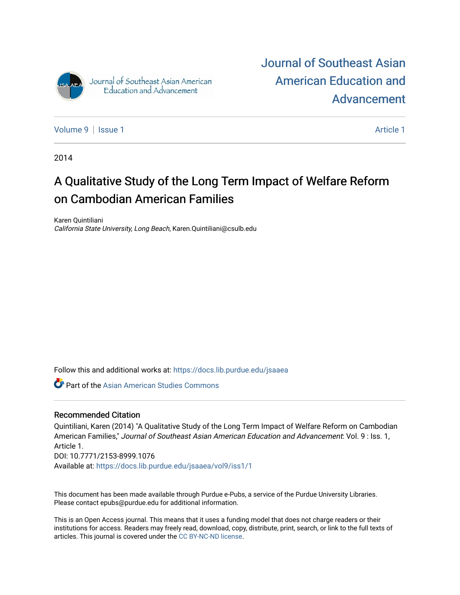

[Journal of Southeast Asian](https://docs.lib.purdue.edu/jsaaea)  [American Education and](https://docs.lib.purdue.edu/jsaaea)  [Advancement](https://docs.lib.purdue.edu/jsaaea) 

[Volume 9](https://docs.lib.purdue.edu/jsaaea/vol9) | [Issue 1](https://docs.lib.purdue.edu/jsaaea/vol9/iss1) Article 1

2014

# A Qualitative Study of the Long Term Impact of Welfare Reform on Cambodian American Families

Karen Quintiliani California State University, Long Beach, Karen.Quintiliani@csulb.edu

Follow this and additional works at: [https://docs.lib.purdue.edu/jsaaea](https://docs.lib.purdue.edu/jsaaea?utm_source=docs.lib.purdue.edu%2Fjsaaea%2Fvol9%2Fiss1%2F1&utm_medium=PDF&utm_campaign=PDFCoverPages) 

**C** Part of the Asian American Studies Commons

#### Recommended Citation

Quintiliani, Karen (2014) "A Qualitative Study of the Long Term Impact of Welfare Reform on Cambodian American Families," Journal of Southeast Asian American Education and Advancement: Vol. 9 : Iss. 1, Article 1. DOI: 10.7771/2153-8999.1076 Available at: [https://docs.lib.purdue.edu/jsaaea/vol9/iss1/1](https://docs.lib.purdue.edu/jsaaea/vol9/iss1/1?utm_source=docs.lib.purdue.edu%2Fjsaaea%2Fvol9%2Fiss1%2F1&utm_medium=PDF&utm_campaign=PDFCoverPages)

This document has been made available through Purdue e-Pubs, a service of the Purdue University Libraries. Please contact epubs@purdue.edu for additional information.

This is an Open Access journal. This means that it uses a funding model that does not charge readers or their institutions for access. Readers may freely read, download, copy, distribute, print, search, or link to the full texts of articles. This journal is covered under the [CC BY-NC-ND license](https://creativecommons.org/licenses/by-nc-nd/4.0/).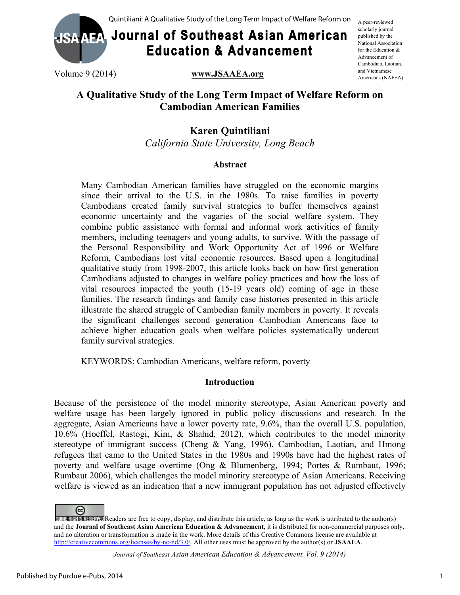

# **Journal of Southeast Asian American Education & Advancement**

A peer-reviewed scholarly journal published by the National Association for the Education & Advancement of Cambodian, Laotian, and Vietnamese Americans (NAFEA)

Volume 9 (2014) **www.JSAAEA.org**

## **A Qualitative Study of the Long Term Impact of Welfare Reform on Cambodian American Families**

## **Karen Quintiliani**

*California State University, Long Beach*

## **Abstract**

Many Cambodian American families have struggled on the economic margins since their arrival to the U.S. in the 1980s. To raise families in poverty Cambodians created family survival strategies to buffer themselves against economic uncertainty and the vagaries of the social welfare system. They combine public assistance with formal and informal work activities of family members, including teenagers and young adults, to survive. With the passage of the Personal Responsibility and Work Opportunity Act of 1996 or Welfare Reform, Cambodians lost vital economic resources. Based upon a longitudinal qualitative study from 1998-2007, this article looks back on how first generation Cambodians adjusted to changes in welfare policy practices and how the loss of vital resources impacted the youth (15-19 years old) coming of age in these families. The research findings and family case histories presented in this article illustrate the shared struggle of Cambodian family members in poverty. It reveals the significant challenges second generation Cambodian Americans face to achieve higher education goals when welfare policies systematically undercut family survival strategies.

KEYWORDS: Cambodian Americans, welfare reform, poverty

## **Introduction**

Because of the persistence of the model minority stereotype, Asian American poverty and welfare usage has been largely ignored in public policy discussions and research. In the aggregate, Asian Americans have a lower poverty rate, 9.6%, than the overall U.S. population, 10.6% (Hoeffel, Rastogi, Kim, & Shahid, 2012), which contributes to the model minority stereotype of immigrant success (Cheng & Yang, 1996). Cambodian, Laotian, and Hmong refugees that came to the United States in the 1980s and 1990s have had the highest rates of poverty and welfare usage overtime (Ong & Blumenberg, 1994; Portes & Rumbaut, 1996; Rumbaut 2006), which challenges the model minority stereotype of Asian Americans. Receiving welfare is viewed as an indication that a new immigrant population has not adjusted effectively

 $(c<sub>c</sub>)$ SOME RIGHTS RESERVED Readers are free to copy, display, and distribute this article, as long as the work is attributed to the author(s) and the **Journal of Southeast Asian American Education & Advancement**, it is distributed for non-commercial purposes only, and no alteration or transformation is made in the work. More details of this Creative Commons license are available at http://creativecommons.org/licenses/by-nc-nd/3.0/. All other uses must be approved by the author(s) or **JSAAEA**.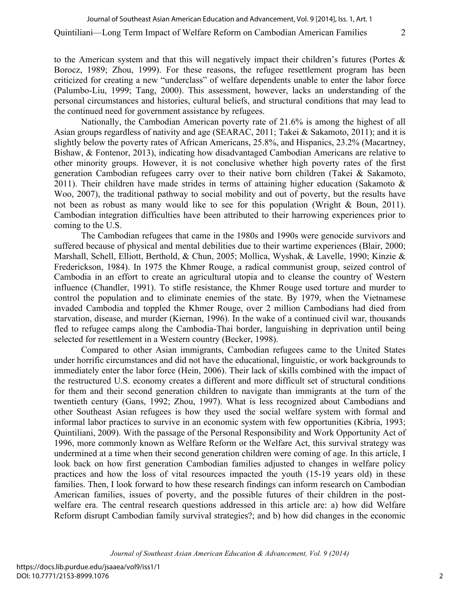to the American system and that this will negatively impact their children's futures (Portes  $\&$ Borocz, 1989; Zhou, 1999). For these reasons, the refugee resettlement program has been criticized for creating a new "underclass" of welfare dependents unable to enter the labor force (Palumbo-Liu, 1999; Tang, 2000). This assessment, however, lacks an understanding of the personal circumstances and histories, cultural beliefs, and structural conditions that may lead to the continued need for government assistance by refugees.

Nationally, the Cambodian American poverty rate of 21.6% is among the highest of all Asian groups regardless of nativity and age (SEARAC, 2011; Takei & Sakamoto, 2011); and it is slightly below the poverty rates of African Americans, 25.8%, and Hispanics, 23.2% (Macartney, Bishaw, & Fontenor, 2013), indicating how disadvantaged Cambodian Americans are relative to other minority groups. However, it is not conclusive whether high poverty rates of the first generation Cambodian refugees carry over to their native born children (Takei & Sakamoto, 2011). Their children have made strides in terms of attaining higher education (Sakamoto  $\&$ Woo, 2007), the traditional pathway to social mobility and out of poverty, but the results have not been as robust as many would like to see for this population (Wright & Boun, 2011). Cambodian integration difficulties have been attributed to their harrowing experiences prior to coming to the U.S.

The Cambodian refugees that came in the 1980s and 1990s were genocide survivors and suffered because of physical and mental debilities due to their wartime experiences (Blair, 2000; Marshall, Schell, Elliott, Berthold, & Chun, 2005; Mollica, Wyshak, & Lavelle, 1990; Kinzie & Frederickson, 1984). In 1975 the Khmer Rouge, a radical communist group, seized control of Cambodia in an effort to create an agricultural utopia and to cleanse the country of Western influence (Chandler, 1991). To stifle resistance, the Khmer Rouge used torture and murder to control the population and to eliminate enemies of the state. By 1979, when the Vietnamese invaded Cambodia and toppled the Khmer Rouge, over 2 million Cambodians had died from starvation, disease, and murder (Kiernan, 1996). In the wake of a continued civil war, thousands fled to refugee camps along the Cambodia-Thai border, languishing in deprivation until being selected for resettlement in a Western country (Becker, 1998).

Compared to other Asian immigrants, Cambodian refugees came to the United States under horrific circumstances and did not have the educational, linguistic, or work backgrounds to immediately enter the labor force (Hein, 2006). Their lack of skills combined with the impact of the restructured U.S. economy creates a different and more difficult set of structural conditions for them and their second generation children to navigate than immigrants at the turn of the twentieth century (Gans, 1992; Zhou, 1997). What is less recognized about Cambodians and other Southeast Asian refugees is how they used the social welfare system with formal and informal labor practices to survive in an economic system with few opportunities (Kibria, 1993; Quintiliani, 2009). With the passage of the Personal Responsibility and Work Opportunity Act of 1996, more commonly known as Welfare Reform or the Welfare Act, this survival strategy was undermined at a time when their second generation children were coming of age. In this article, I look back on how first generation Cambodian families adjusted to changes in welfare policy practices and how the loss of vital resources impacted the youth (15-19 years old) in these families. Then, I look forward to how these research findings can inform research on Cambodian American families, issues of poverty, and the possible futures of their children in the postwelfare era. The central research questions addressed in this article are: a) how did Welfare Reform disrupt Cambodian family survival strategies?; and b) how did changes in the economic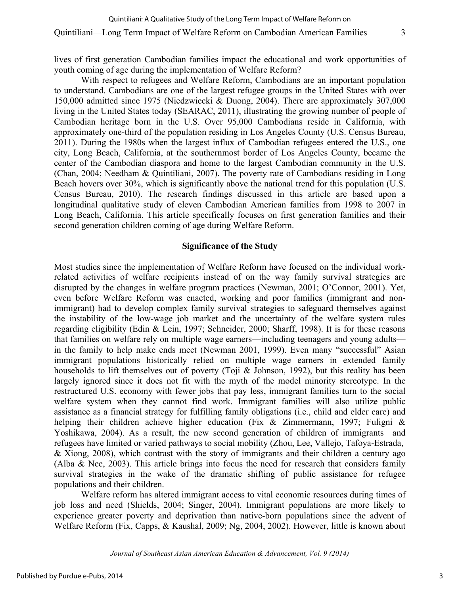lives of first generation Cambodian families impact the educational and work opportunities of youth coming of age during the implementation of Welfare Reform?

With respect to refugees and Welfare Reform, Cambodians are an important population to understand. Cambodians are one of the largest refugee groups in the United States with over 150,000 admitted since 1975 (Niedzwiecki & Duong, 2004). There are approximately 307,000 living in the United States today (SEARAC, 2011), illustrating the growing number of people of Cambodian heritage born in the U.S. Over 95,000 Cambodians reside in California, with approximately one-third of the population residing in Los Angeles County (U.S. Census Bureau, 2011). During the 1980s when the largest influx of Cambodian refugees entered the U.S., one city, Long Beach, California, at the southernmost border of Los Angeles County, became the center of the Cambodian diaspora and home to the largest Cambodian community in the U.S. (Chan, 2004; Needham & Quintiliani, 2007). The poverty rate of Cambodians residing in Long Beach hovers over 30%, which is significantly above the national trend for this population (U.S. Census Bureau, 2010). The research findings discussed in this article are based upon a longitudinal qualitative study of eleven Cambodian American families from 1998 to 2007 in Long Beach, California. This article specifically focuses on first generation families and their second generation children coming of age during Welfare Reform.

#### **Significance of the Study**

Most studies since the implementation of Welfare Reform have focused on the individual workrelated activities of welfare recipients instead of on the way family survival strategies are disrupted by the changes in welfare program practices (Newman, 2001; O'Connor, 2001). Yet, even before Welfare Reform was enacted, working and poor families (immigrant and nonimmigrant) had to develop complex family survival strategies to safeguard themselves against the instability of the low-wage job market and the uncertainty of the welfare system rules regarding eligibility (Edin & Lein, 1997; Schneider, 2000; Sharff, 1998). It is for these reasons that families on welfare rely on multiple wage earners—including teenagers and young adults in the family to help make ends meet (Newman 2001, 1999). Even many "successful" Asian immigrant populations historically relied on multiple wage earners in extended family households to lift themselves out of poverty (Toji & Johnson, 1992), but this reality has been largely ignored since it does not fit with the myth of the model minority stereotype. In the restructured U.S. economy with fewer jobs that pay less, immigrant families turn to the social welfare system when they cannot find work. Immigrant families will also utilize public assistance as a financial strategy for fulfilling family obligations (i.e., child and elder care) and helping their children achieve higher education (Fix & Zimmermann, 1997; Fuligni & Yoshikawa, 2004). As a result, the new second generation of children of immigrants and refugees have limited or varied pathways to social mobility (Zhou, Lee, Vallejo, Tafoya-Estrada, & Xiong, 2008), which contrast with the story of immigrants and their children a century ago (Alba & Nee, 2003). This article brings into focus the need for research that considers family survival strategies in the wake of the dramatic shifting of public assistance for refugee populations and their children.

Welfare reform has altered immigrant access to vital economic resources during times of job loss and need (Shields, 2004; Singer, 2004). Immigrant populations are more likely to experience greater poverty and deprivation than native-born populations since the advent of Welfare Reform (Fix, Capps, & Kaushal, 2009; Ng, 2004, 2002). However, little is known about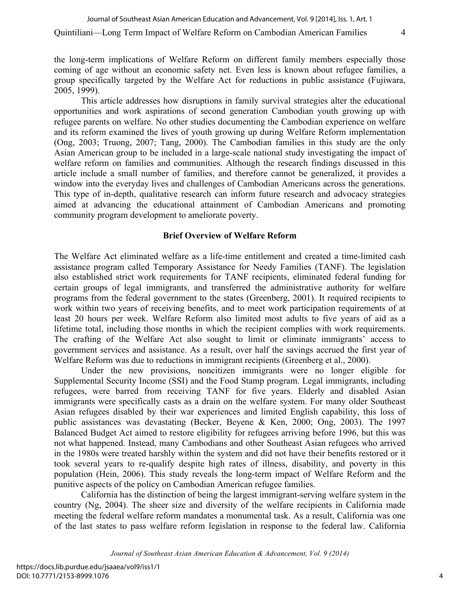the long-term implications of Welfare Reform on different family members especially those coming of age without an economic safety net. Even less is known about refugee families, a group specifically targeted by the Welfare Act for reductions in public assistance (Fujiwara, 2005, 1999).

This article addresses how disruptions in family survival strategies alter the educational opportunities and work aspirations of second generation Cambodian youth growing up with refugee parents on welfare. No other studies documenting the Cambodian experience on welfare and its reform examined the lives of youth growing up during Welfare Reform implementation (Ong, 2003; Truong, 2007; Tang, 2000). The Cambodian families in this study are the only Asian American group to be included in a large-scale national study investigating the impact of welfare reform on families and communities. Although the research findings discussed in this article include a small number of families, and therefore cannot be generalized, it provides a window into the everyday lives and challenges of Cambodian Americans across the generations. This type of in-depth, qualitative research can inform future research and advocacy strategies aimed at advancing the educational attainment of Cambodian Americans and promoting community program development to ameliorate poverty.

#### **Brief Overview of Welfare Reform**

The Welfare Act eliminated welfare as a life-time entitlement and created a time-limited cash assistance program called Temporary Assistance for Needy Families (TANF). The legislation also established strict work requirements for TANF recipients, eliminated federal funding for certain groups of legal immigrants, and transferred the administrative authority for welfare programs from the federal government to the states (Greenberg, 2001). It required recipients to work within two years of receiving benefits, and to meet work participation requirements of at least 20 hours per week. Welfare Reform also limited most adults to five years of aid as a lifetime total, including those months in which the recipient complies with work requirements. The crafting of the Welfare Act also sought to limit or eliminate immigrants' access to government services and assistance. As a result, over half the savings accrued the first year of Welfare Reform was due to reductions in immigrant recipients (Greenberg et al., 2000).

Under the new provisions, noncitizen immigrants were no longer eligible for Supplemental Security Income (SSI) and the Food Stamp program. Legal immigrants, including refugees, were barred from receiving TANF for five years. Elderly and disabled Asian immigrants were specifically casts as a drain on the welfare system. For many older Southeast Asian refugees disabled by their war experiences and limited English capability, this loss of public assistances was devastating (Becker, Beyene & Ken, 2000; Ong, 2003). The 1997 Balanced Budget Act aimed to restore eligibility for refugees arriving before 1996, but this was not what happened. Instead, many Cambodians and other Southeast Asian refugees who arrived in the 1980s were treated harshly within the system and did not have their benefits restored or it took several years to re-qualify despite high rates of illness, disability, and poverty in this population (Hein, 2006). This study reveals the long-term impact of Welfare Reform and the punitive aspects of the policy on Cambodian American refugee families.

California has the distinction of being the largest immigrant-serving welfare system in the country (Ng, 2004). The sheer size and diversity of the welfare recipients in California made meeting the federal welfare reform mandates a monumental task. As a result, California was one of the last states to pass welfare reform legislation in response to the federal law. California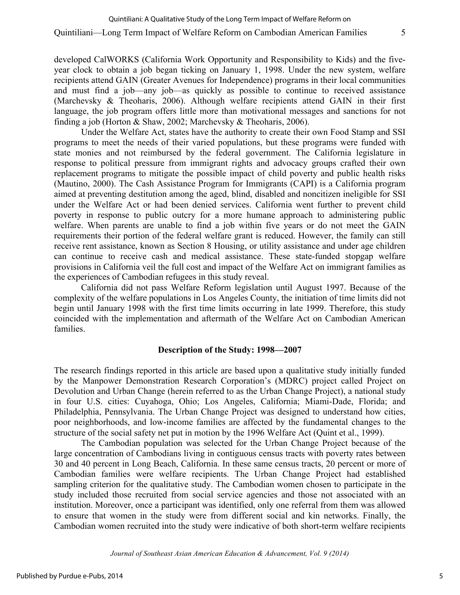developed CalWORKS (California Work Opportunity and Responsibility to Kids) and the fiveyear clock to obtain a job began ticking on January 1, 1998. Under the new system, welfare recipients attend GAIN (Greater Avenues for Independence) programs in their local communities and must find a job—any job—as quickly as possible to continue to received assistance (Marchevsky & Theoharis, 2006). Although welfare recipients attend GAIN in their first language, the job program offers little more than motivational messages and sanctions for not finding a job (Horton & Shaw, 2002; Marchevsky & Theoharis, 2006).

Under the Welfare Act, states have the authority to create their own Food Stamp and SSI programs to meet the needs of their varied populations, but these programs were funded with state monies and not reimbursed by the federal government. The California legislature in response to political pressure from immigrant rights and advocacy groups crafted their own replacement programs to mitigate the possible impact of child poverty and public health risks (Mautino, 2000). The Cash Assistance Program for Immigrants (CAPI) is a California program aimed at preventing destitution among the aged, blind, disabled and noncitizen ineligible for SSI under the Welfare Act or had been denied services. California went further to prevent child poverty in response to public outcry for a more humane approach to administering public welfare. When parents are unable to find a job within five years or do not meet the GAIN requirements their portion of the federal welfare grant is reduced. However, the family can still receive rent assistance, known as Section 8 Housing, or utility assistance and under age children can continue to receive cash and medical assistance. These state-funded stopgap welfare provisions in California veil the full cost and impact of the Welfare Act on immigrant families as the experiences of Cambodian refugees in this study reveal.

California did not pass Welfare Reform legislation until August 1997. Because of the complexity of the welfare populations in Los Angeles County, the initiation of time limits did not begin until January 1998 with the first time limits occurring in late 1999. Therefore, this study coincided with the implementation and aftermath of the Welfare Act on Cambodian American families.

#### **Description of the Study: 1998—2007**

The research findings reported in this article are based upon a qualitative study initially funded by the Manpower Demonstration Research Corporation's (MDRC) project called Project on Devolution and Urban Change (herein referred to as the Urban Change Project), a national study in four U.S. cities: Cuyahoga, Ohio; Los Angeles, California; Miami-Dade, Florida; and Philadelphia, Pennsylvania. The Urban Change Project was designed to understand how cities, poor neighborhoods, and low-income families are affected by the fundamental changes to the structure of the social safety net put in motion by the 1996 Welfare Act (Quint et al., 1999).

The Cambodian population was selected for the Urban Change Project because of the large concentration of Cambodians living in contiguous census tracts with poverty rates between 30 and 40 percent in Long Beach, California. In these same census tracts, 20 percent or more of Cambodian families were welfare recipients. The Urban Change Project had established sampling criterion for the qualitative study. The Cambodian women chosen to participate in the study included those recruited from social service agencies and those not associated with an institution. Moreover, once a participant was identified, only one referral from them was allowed to ensure that women in the study were from different social and kin networks. Finally, the Cambodian women recruited into the study were indicative of both short-term welfare recipients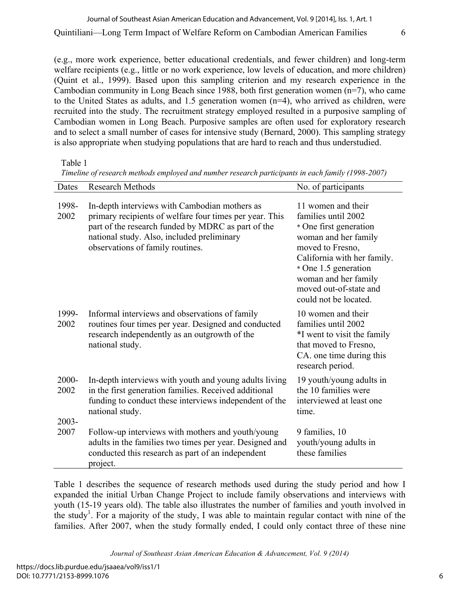(e.g., more work experience, better educational credentials, and fewer children) and long-term welfare recipients (e.g., little or no work experience, low levels of education, and more children) (Quint et al., 1999). Based upon this sampling criterion and my research experience in the Cambodian community in Long Beach since 1988, both first generation women (n=7), who came to the United States as adults, and 1.5 generation women (n=4), who arrived as children, were recruited into the study. The recruitment strategy employed resulted in a purposive sampling of Cambodian women in Long Beach. Purposive samples are often used for exploratory research and to select a small number of cases for intensive study (Bernard, 2000). This sampling strategy is also appropriate when studying populations that are hard to reach and thus understudied.

Table 1

| Dates         | Research Methods                                                                                                                                                                                                                                 | No. of participants                                                                                                                                                                                                                               |
|---------------|--------------------------------------------------------------------------------------------------------------------------------------------------------------------------------------------------------------------------------------------------|---------------------------------------------------------------------------------------------------------------------------------------------------------------------------------------------------------------------------------------------------|
| 1998-<br>2002 | In-depth interviews with Cambodian mothers as<br>primary recipients of welfare four times per year. This<br>part of the research funded by MDRC as part of the<br>national study. Also, included preliminary<br>observations of family routines. | 11 women and their<br>families until 2002<br>* One first generation<br>woman and her family<br>moved to Fresno,<br>California with her family.<br>* One 1.5 generation<br>woman and her family<br>moved out-of-state and<br>could not be located. |
| 1999-<br>2002 | Informal interviews and observations of family<br>routines four times per year. Designed and conducted<br>research independently as an outgrowth of the<br>national study.                                                                       | 10 women and their<br>families until 2002<br>*I went to visit the family<br>that moved to Fresno,<br>CA. one time during this<br>research period.                                                                                                 |
| 2000-<br>2002 | In-depth interviews with youth and young adults living<br>in the first generation families. Received additional<br>funding to conduct these interviews independent of the<br>national study.                                                     | 19 youth/young adults in<br>the 10 families were<br>interviewed at least one<br>time.                                                                                                                                                             |
| 2003-<br>2007 | Follow-up interviews with mothers and youth/young<br>adults in the families two times per year. Designed and<br>conducted this research as part of an independent<br>project.                                                                    | 9 families, 10<br>youth/young adults in<br>these families                                                                                                                                                                                         |

*Timeline of research methods employed and number research participants in each family (1998-2007)*

Table 1 describes the sequence of research methods used during the study period and how I expanded the initial Urban Change Project to include family observations and interviews with youth (15-19 years old). The table also illustrates the number of families and youth involved in the study<sup>1</sup>. For a majority of the study, I was able to maintain regular contact with nine of the families. After 2007, when the study formally ended, I could only contact three of these nine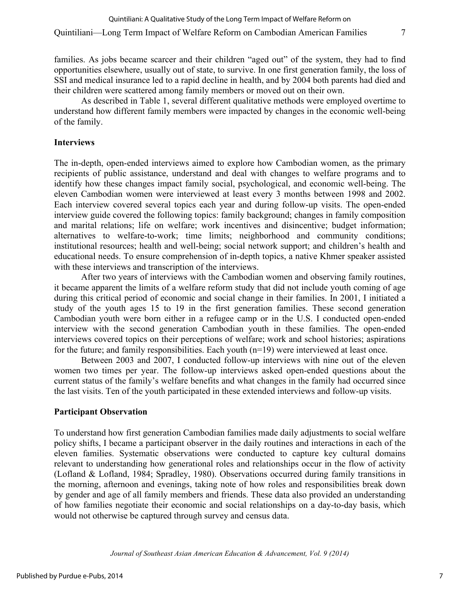families. As jobs became scarcer and their children "aged out" of the system, they had to find opportunities elsewhere, usually out of state, to survive. In one first generation family, the loss of SSI and medical insurance led to a rapid decline in health, and by 2004 both parents had died and their children were scattered among family members or moved out on their own.

As described in Table 1, several different qualitative methods were employed overtime to understand how different family members were impacted by changes in the economic well-being of the family.

## **Interviews**

The in-depth, open-ended interviews aimed to explore how Cambodian women, as the primary recipients of public assistance, understand and deal with changes to welfare programs and to identify how these changes impact family social, psychological, and economic well-being. The eleven Cambodian women were interviewed at least every 3 months between 1998 and 2002. Each interview covered several topics each year and during follow-up visits. The open-ended interview guide covered the following topics: family background; changes in family composition and marital relations; life on welfare; work incentives and disincentive; budget information; alternatives to welfare-to-work; time limits; neighborhood and community conditions; institutional resources; health and well-being; social network support; and children's health and educational needs. To ensure comprehension of in-depth topics, a native Khmer speaker assisted with these interviews and transcription of the interviews.

After two years of interviews with the Cambodian women and observing family routines, it became apparent the limits of a welfare reform study that did not include youth coming of age during this critical period of economic and social change in their families. In 2001, I initiated a study of the youth ages 15 to 19 in the first generation families. These second generation Cambodian youth were born either in a refugee camp or in the U.S. I conducted open-ended interview with the second generation Cambodian youth in these families. The open-ended interviews covered topics on their perceptions of welfare; work and school histories; aspirations for the future; and family responsibilities. Each youth (n=19) were interviewed at least once.

Between 2003 and 2007, I conducted follow-up interviews with nine out of the eleven women two times per year. The follow-up interviews asked open-ended questions about the current status of the family's welfare benefits and what changes in the family had occurred since the last visits. Ten of the youth participated in these extended interviews and follow-up visits.

## **Participant Observation**

To understand how first generation Cambodian families made daily adjustments to social welfare policy shifts, I became a participant observer in the daily routines and interactions in each of the eleven families. Systematic observations were conducted to capture key cultural domains relevant to understanding how generational roles and relationships occur in the flow of activity (Lofland & Lofland, 1984; Spradley, 1980). Observations occurred during family transitions in the morning, afternoon and evenings, taking note of how roles and responsibilities break down by gender and age of all family members and friends. These data also provided an understanding of how families negotiate their economic and social relationships on a day-to-day basis, which would not otherwise be captured through survey and census data.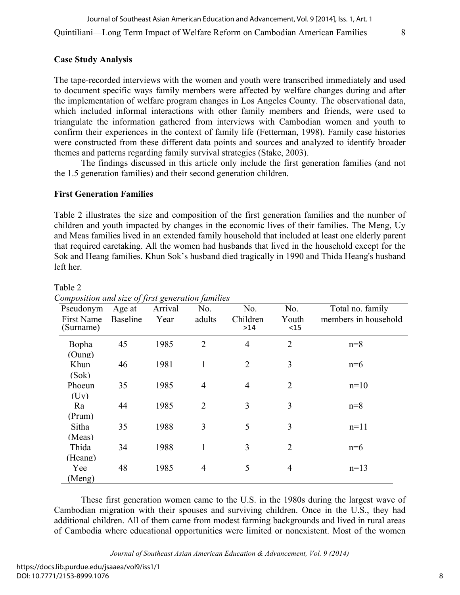### **Case Study Analysis**

The tape-recorded interviews with the women and youth were transcribed immediately and used to document specific ways family members were affected by welfare changes during and after the implementation of welfare program changes in Los Angeles County. The observational data, which included informal interactions with other family members and friends, were used to triangulate the information gathered from interviews with Cambodian women and youth to confirm their experiences in the context of family life (Fetterman, 1998). Family case histories were constructed from these different data points and sources and analyzed to identify broader themes and patterns regarding family survival strategies (Stake, 2003).

The findings discussed in this article only include the first generation families (and not the 1.5 generation families) and their second generation children.

### **First Generation Families**

Table 2

Table 2 illustrates the size and composition of the first generation families and the number of children and youth impacted by changes in the economic lives of their families. The Meng, Uy and Meas families lived in an extended family household that included at least one elderly parent that required caretaking. All the women had husbands that lived in the household except for the Sok and Heang families. Khun Sok's husband died tragically in 1990 and Thida Heang's husband left her.

| omposition ana sile of first generation families<br>Pseudonym<br>First Name<br>(Surname) | Age at<br>Baseline | Arrival<br>Year | No.<br>adults  | No.<br>Children<br>>14 | No.<br>Youth<br>$15$ | Total no. family<br>members in household |
|------------------------------------------------------------------------------------------|--------------------|-----------------|----------------|------------------------|----------------------|------------------------------------------|
| Bopha<br>(Oung)                                                                          | 45                 | 1985            | $\overline{2}$ | $\overline{4}$         | $\overline{2}$       | $n=8$                                    |
| Khun                                                                                     | 46                 | 1981            | 1              | $\overline{2}$         | 3                    | $n=6$                                    |
| (Sok)<br>Phoeun                                                                          | 35                 | 1985            | $\overline{4}$ | $\overline{4}$         | $\overline{2}$       | $n=10$                                   |
| (Uv)<br>Ra                                                                               | 44                 | 1985            | 2              | 3                      | 3                    | $n=8$                                    |
| (Prum)<br>Sitha                                                                          | 35                 | 1988            | $\overline{3}$ | 5                      | 3                    | $n=11$                                   |
| (Meas)                                                                                   |                    |                 |                |                        |                      |                                          |
| Thida<br>(Heang)                                                                         | 34                 | 1988            | $\mathbf{1}$   | 3                      | $\overline{2}$       | $n=6$                                    |
| Yee<br>(Meng)                                                                            | 48                 | 1985            | $\overline{4}$ | 5                      | $\overline{4}$       | $n=13$                                   |

*Composition and size of first generation families*

These first generation women came to the U.S. in the 1980s during the largest wave of Cambodian migration with their spouses and surviving children. Once in the U.S., they had additional children. All of them came from modest farming backgrounds and lived in rural areas of Cambodia where educational opportunities were limited or nonexistent. Most of the women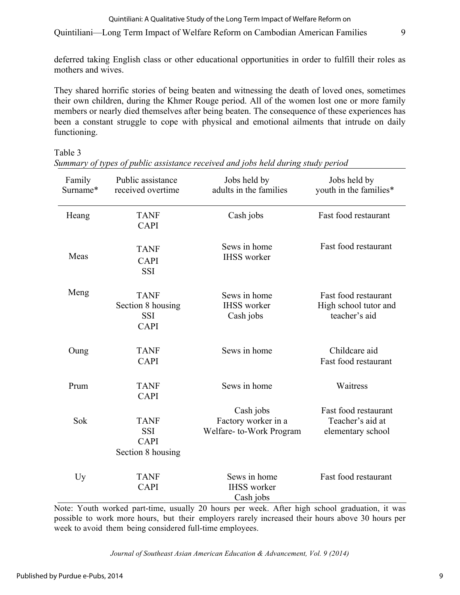#### Quintiliani: A Qualitative Study of the Long Term Impact of Welfare Reform on

Quintiliani—Long Term Impact of Welfare Reform on Cambodian American Families 9

deferred taking English class or other educational opportunities in order to fulfill their roles as mothers and wives.

They shared horrific stories of being beaten and witnessing the death of loved ones, sometimes their own children, during the Khmer Rouge period. All of the women lost one or more family members or nearly died themselves after being beaten. The consequence of these experiences has been a constant struggle to cope with physical and emotional ailments that intrude on daily functioning.

Table 3

| Family<br>Surname* | Public assistance<br>received overtime                        | Jobs held by<br>adults in the families                      | Jobs held by<br>youth in the families*                         |
|--------------------|---------------------------------------------------------------|-------------------------------------------------------------|----------------------------------------------------------------|
| Heang              | <b>TANF</b><br><b>CAPI</b>                                    | Cash jobs                                                   | Fast food restaurant                                           |
| Meas               | <b>TANF</b><br><b>CAPI</b><br><b>SSI</b>                      | Sews in home<br><b>IHSS</b> worker                          | Fast food restaurant                                           |
| Meng               | <b>TANF</b><br>Section 8 housing<br><b>SSI</b><br><b>CAPI</b> | Sews in home<br><b>IHSS</b> worker<br>Cash jobs             | Fast food restaurant<br>High school tutor and<br>teacher's aid |
| Oung               | <b>TANF</b><br><b>CAPI</b>                                    | Sews in home                                                | Childcare aid<br>Fast food restaurant                          |
| Prum               | <b>TANF</b><br><b>CAPI</b>                                    | Sews in home                                                | Waitress                                                       |
| Sok                | <b>TANF</b><br><b>SSI</b><br><b>CAPI</b><br>Section 8 housing | Cash jobs<br>Factory worker in a<br>Welfare-to-Work Program | Fast food restaurant<br>Teacher's aid at<br>elementary school  |
| Uy                 | <b>TANF</b><br><b>CAPI</b>                                    | Sews in home<br><b>IHSS</b> worker<br>Cash jobs             | Fast food restaurant                                           |

*Summary of types of public assistance received and jobs held during study period*

Note: Youth worked part-time, usually 20 hours per week. After high school graduation, it was possible to work more hours, but their employers rarely increased their hours above 30 hours per week to avoid them being considered full-time employees.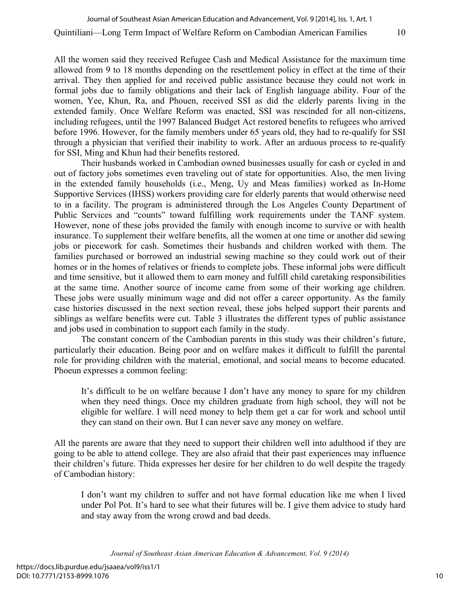All the women said they received Refugee Cash and Medical Assistance for the maximum time allowed from 9 to 18 months depending on the resettlement policy in effect at the time of their arrival. They then applied for and received public assistance because they could not work in formal jobs due to family obligations and their lack of English language ability. Four of the women, Yee, Khun, Ra, and Phouen, received SSI as did the elderly parents living in the extended family. Once Welfare Reform was enacted, SSI was rescinded for all non-citizens, including refugees, until the 1997 Balanced Budget Act restored benefits to refugees who arrived before 1996. However, for the family members under 65 years old, they had to re-qualify for SSI through a physician that verified their inability to work. After an arduous process to re-qualify for SSI, Ming and Khun had their benefits restored.

Their husbands worked in Cambodian owned businesses usually for cash or cycled in and out of factory jobs sometimes even traveling out of state for opportunities. Also, the men living in the extended family households (i.e., Meng, Uy and Meas families) worked as In-Home Supportive Services (IHSS) workers providing care for elderly parents that would otherwise need to in a facility. The program is administered through the Los Angeles County Department of Public Services and "counts" toward fulfilling work requirements under the TANF system. However, none of these jobs provided the family with enough income to survive or with health insurance. To supplement their welfare benefits, all the women at one time or another did sewing jobs or piecework for cash. Sometimes their husbands and children worked with them. The families purchased or borrowed an industrial sewing machine so they could work out of their homes or in the homes of relatives or friends to complete jobs. These informal jobs were difficult and time sensitive, but it allowed them to earn money and fulfill child caretaking responsibilities at the same time. Another source of income came from some of their working age children. These jobs were usually minimum wage and did not offer a career opportunity. As the family case histories discussed in the next section reveal, these jobs helped support their parents and siblings as welfare benefits were cut. Table 3 illustrates the different types of public assistance and jobs used in combination to support each family in the study.

The constant concern of the Cambodian parents in this study was their children's future, particularly their education. Being poor and on welfare makes it difficult to fulfill the parental role for providing children with the material, emotional, and social means to become educated. Phoeun expresses a common feeling:

It's difficult to be on welfare because I don't have any money to spare for my children when they need things. Once my children graduate from high school, they will not be eligible for welfare. I will need money to help them get a car for work and school until they can stand on their own. But I can never save any money on welfare.

All the parents are aware that they need to support their children well into adulthood if they are going to be able to attend college. They are also afraid that their past experiences may influence their children's future. Thida expresses her desire for her children to do well despite the tragedy of Cambodian history:

I don't want my children to suffer and not have formal education like me when I lived under Pol Pot. It's hard to see what their futures will be. I give them advice to study hard and stay away from the wrong crowd and bad deeds.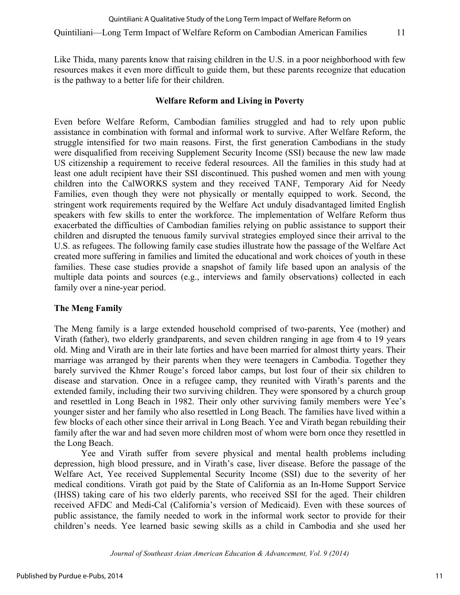Like Thida, many parents know that raising children in the U.S. in a poor neighborhood with few resources makes it even more difficult to guide them, but these parents recognize that education is the pathway to a better life for their children.

## **Welfare Reform and Living in Poverty**

Even before Welfare Reform, Cambodian families struggled and had to rely upon public assistance in combination with formal and informal work to survive. After Welfare Reform, the struggle intensified for two main reasons. First, the first generation Cambodians in the study were disqualified from receiving Supplement Security Income (SSI) because the new law made US citizenship a requirement to receive federal resources. All the families in this study had at least one adult recipient have their SSI discontinued. This pushed women and men with young children into the CalWORKS system and they received TANF, Temporary Aid for Needy Families, even though they were not physically or mentally equipped to work. Second, the stringent work requirements required by the Welfare Act unduly disadvantaged limited English speakers with few skills to enter the workforce. The implementation of Welfare Reform thus exacerbated the difficulties of Cambodian families relying on public assistance to support their children and disrupted the tenuous family survival strategies employed since their arrival to the U.S. as refugees. The following family case studies illustrate how the passage of the Welfare Act created more suffering in families and limited the educational and work choices of youth in these families. These case studies provide a snapshot of family life based upon an analysis of the multiple data points and sources (e.g., interviews and family observations) collected in each family over a nine-year period.

## **The Meng Family**

The Meng family is a large extended household comprised of two-parents, Yee (mother) and Virath (father), two elderly grandparents, and seven children ranging in age from 4 to 19 years old. Ming and Virath are in their late forties and have been married for almost thirty years. Their marriage was arranged by their parents when they were teenagers in Cambodia. Together they barely survived the Khmer Rouge's forced labor camps, but lost four of their six children to disease and starvation. Once in a refugee camp, they reunited with Virath's parents and the extended family, including their two surviving children. They were sponsored by a church group and resettled in Long Beach in 1982. Their only other surviving family members were Yee's younger sister and her family who also resettled in Long Beach. The families have lived within a few blocks of each other since their arrival in Long Beach. Yee and Virath began rebuilding their family after the war and had seven more children most of whom were born once they resettled in the Long Beach.

Yee and Virath suffer from severe physical and mental health problems including depression, high blood pressure, and in Virath's case, liver disease. Before the passage of the Welfare Act, Yee received Supplemental Security Income (SSI) due to the severity of her medical conditions. Virath got paid by the State of California as an In-Home Support Service (IHSS) taking care of his two elderly parents, who received SSI for the aged. Their children received AFDC and Medi-Cal (California's version of Medicaid). Even with these sources of public assistance, the family needed to work in the informal work sector to provide for their children's needs. Yee learned basic sewing skills as a child in Cambodia and she used her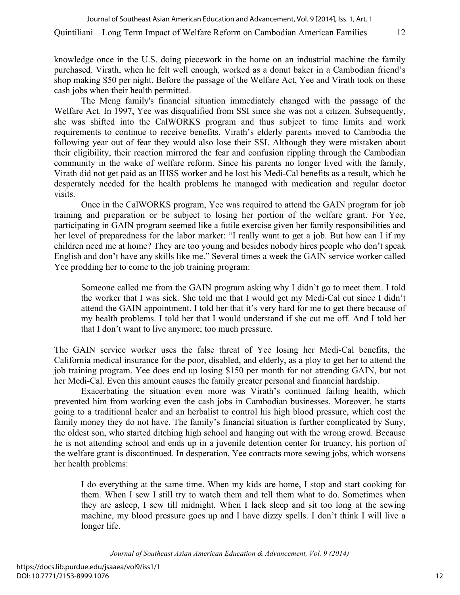knowledge once in the U.S. doing piecework in the home on an industrial machine the family purchased. Virath, when he felt well enough, worked as a donut baker in a Cambodian friend's shop making \$50 per night. Before the passage of the Welfare Act, Yee and Virath took on these cash jobs when their health permitted.

The Meng family's financial situation immediately changed with the passage of the Welfare Act. In 1997, Yee was disqualified from SSI since she was not a citizen. Subsequently, she was shifted into the CalWORKS program and thus subject to time limits and work requirements to continue to receive benefits. Virath's elderly parents moved to Cambodia the following year out of fear they would also lose their SSI. Although they were mistaken about their eligibility, their reaction mirrored the fear and confusion rippling through the Cambodian community in the wake of welfare reform. Since his parents no longer lived with the family, Virath did not get paid as an IHSS worker and he lost his Medi-Cal benefits as a result, which he desperately needed for the health problems he managed with medication and regular doctor visits.

Once in the CalWORKS program, Yee was required to attend the GAIN program for job training and preparation or be subject to losing her portion of the welfare grant. For Yee, participating in GAIN program seemed like a futile exercise given her family responsibilities and her level of preparedness for the labor market: "I really want to get a job. But how can I if my children need me at home? They are too young and besides nobody hires people who don't speak English and don't have any skills like me." Several times a week the GAIN service worker called Yee prodding her to come to the job training program:

Someone called me from the GAIN program asking why I didn't go to meet them. I told the worker that I was sick. She told me that I would get my Medi-Cal cut since I didn't attend the GAIN appointment. I told her that it's very hard for me to get there because of my health problems. I told her that I would understand if she cut me off. And I told her that I don't want to live anymore; too much pressure.

The GAIN service worker uses the false threat of Yee losing her Medi-Cal benefits, the California medical insurance for the poor, disabled, and elderly, as a ploy to get her to attend the job training program. Yee does end up losing \$150 per month for not attending GAIN, but not her Medi-Cal. Even this amount causes the family greater personal and financial hardship.

Exacerbating the situation even more was Virath's continued failing health, which prevented him from working even the cash jobs in Cambodian businesses. Moreover, he starts going to a traditional healer and an herbalist to control his high blood pressure, which cost the family money they do not have. The family's financial situation is further complicated by Suny, the oldest son, who started ditching high school and hanging out with the wrong crowd. Because he is not attending school and ends up in a juvenile detention center for truancy, his portion of the welfare grant is discontinued. In desperation, Yee contracts more sewing jobs, which worsens her health problems:

I do everything at the same time. When my kids are home, I stop and start cooking for them. When I sew I still try to watch them and tell them what to do. Sometimes when they are asleep, I sew till midnight. When I lack sleep and sit too long at the sewing machine, my blood pressure goes up and I have dizzy spells. I don't think I will live a longer life.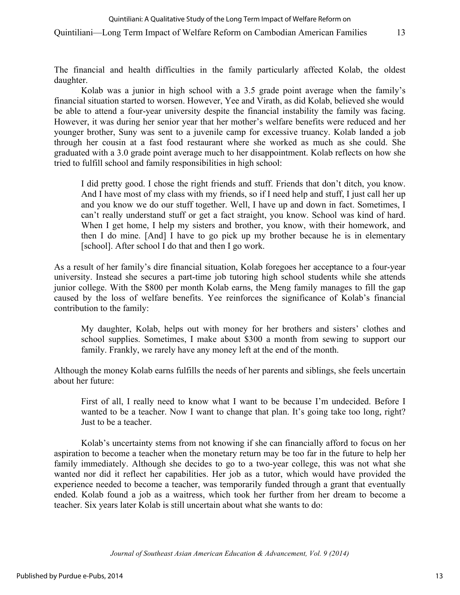#### Quintiliani: A Qualitative Study of the Long Term Impact of Welfare Reform on

#### Quintiliani—Long Term Impact of Welfare Reform on Cambodian American Families 13

The financial and health difficulties in the family particularly affected Kolab, the oldest daughter.

Kolab was a junior in high school with a 3.5 grade point average when the family's financial situation started to worsen. However, Yee and Virath, as did Kolab, believed she would be able to attend a four-year university despite the financial instability the family was facing. However, it was during her senior year that her mother's welfare benefits were reduced and her younger brother, Suny was sent to a juvenile camp for excessive truancy. Kolab landed a job through her cousin at a fast food restaurant where she worked as much as she could. She graduated with a 3.0 grade point average much to her disappointment. Kolab reflects on how she tried to fulfill school and family responsibilities in high school:

I did pretty good. I chose the right friends and stuff. Friends that don't ditch, you know. And I have most of my class with my friends, so if I need help and stuff, I just call her up and you know we do our stuff together. Well, I have up and down in fact. Sometimes, I can't really understand stuff or get a fact straight, you know. School was kind of hard. When I get home, I help my sisters and brother, you know, with their homework, and then I do mine. [And] I have to go pick up my brother because he is in elementary [school]. After school I do that and then I go work.

As a result of her family's dire financial situation, Kolab foregoes her acceptance to a four-year university. Instead she secures a part-time job tutoring high school students while she attends junior college. With the \$800 per month Kolab earns, the Meng family manages to fill the gap caused by the loss of welfare benefits. Yee reinforces the significance of Kolab's financial contribution to the family:

My daughter, Kolab, helps out with money for her brothers and sisters' clothes and school supplies. Sometimes, I make about \$300 a month from sewing to support our family. Frankly, we rarely have any money left at the end of the month.

Although the money Kolab earns fulfills the needs of her parents and siblings, she feels uncertain about her future:

First of all, I really need to know what I want to be because I'm undecided. Before I wanted to be a teacher. Now I want to change that plan. It's going take too long, right? Just to be a teacher.

Kolab's uncertainty stems from not knowing if she can financially afford to focus on her aspiration to become a teacher when the monetary return may be too far in the future to help her family immediately. Although she decides to go to a two-year college, this was not what she wanted nor did it reflect her capabilities. Her job as a tutor, which would have provided the experience needed to become a teacher, was temporarily funded through a grant that eventually ended. Kolab found a job as a waitress, which took her further from her dream to become a teacher. Six years later Kolab is still uncertain about what she wants to do: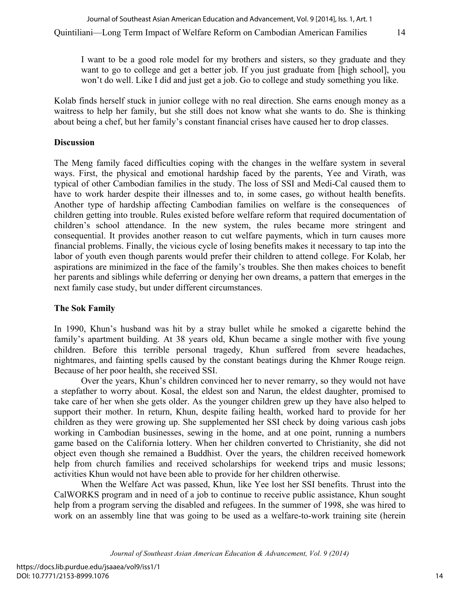I want to be a good role model for my brothers and sisters, so they graduate and they want to go to college and get a better job. If you just graduate from [high school], you won't do well. Like I did and just get a job. Go to college and study something you like.

Kolab finds herself stuck in junior college with no real direction. She earns enough money as a waitress to help her family, but she still does not know what she wants to do. She is thinking about being a chef, but her family's constant financial crises have caused her to drop classes.

### **Discussion**

The Meng family faced difficulties coping with the changes in the welfare system in several ways. First, the physical and emotional hardship faced by the parents, Yee and Virath, was typical of other Cambodian families in the study. The loss of SSI and Medi-Cal caused them to have to work harder despite their illnesses and to, in some cases, go without health benefits. Another type of hardship affecting Cambodian families on welfare is the consequences of children getting into trouble. Rules existed before welfare reform that required documentation of children's school attendance. In the new system, the rules became more stringent and consequential. It provides another reason to cut welfare payments, which in turn causes more financial problems. Finally, the vicious cycle of losing benefits makes it necessary to tap into the labor of youth even though parents would prefer their children to attend college. For Kolab, her aspirations are minimized in the face of the family's troubles. She then makes choices to benefit her parents and siblings while deferring or denying her own dreams, a pattern that emerges in the next family case study, but under different circumstances.

## **The Sok Family**

In 1990, Khun's husband was hit by a stray bullet while he smoked a cigarette behind the family's apartment building. At 38 years old, Khun became a single mother with five young children. Before this terrible personal tragedy, Khun suffered from severe headaches, nightmares, and fainting spells caused by the constant beatings during the Khmer Rouge reign. Because of her poor health, she received SSI.

Over the years, Khun's children convinced her to never remarry, so they would not have a stepfather to worry about. Kosal, the eldest son and Narun, the eldest daughter, promised to take care of her when she gets older. As the younger children grew up they have also helped to support their mother. In return, Khun, despite failing health, worked hard to provide for her children as they were growing up. She supplemented her SSI check by doing various cash jobs working in Cambodian businesses, sewing in the home, and at one point, running a numbers game based on the California lottery. When her children converted to Christianity, she did not object even though she remained a Buddhist. Over the years, the children received homework help from church families and received scholarships for weekend trips and music lessons; activities Khun would not have been able to provide for her children otherwise.

When the Welfare Act was passed, Khun, like Yee lost her SSI benefits. Thrust into the CalWORKS program and in need of a job to continue to receive public assistance, Khun sought help from a program serving the disabled and refugees. In the summer of 1998, she was hired to work on an assembly line that was going to be used as a welfare-to-work training site (herein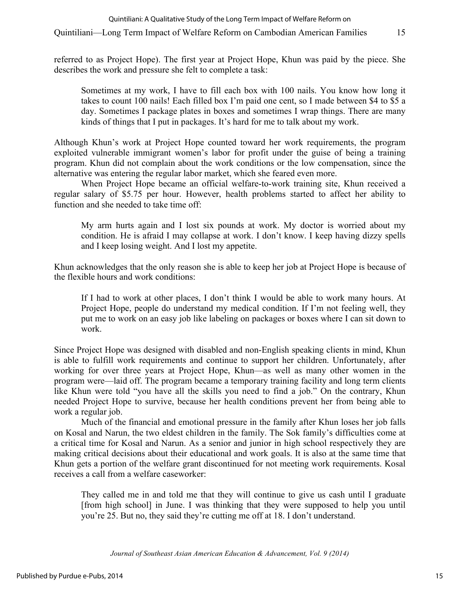referred to as Project Hope). The first year at Project Hope, Khun was paid by the piece. She describes the work and pressure she felt to complete a task:

Sometimes at my work, I have to fill each box with 100 nails. You know how long it takes to count 100 nails! Each filled box I'm paid one cent, so I made between \$4 to \$5 a day. Sometimes I package plates in boxes and sometimes I wrap things. There are many kinds of things that I put in packages. It's hard for me to talk about my work.

Although Khun's work at Project Hope counted toward her work requirements, the program exploited vulnerable immigrant women's labor for profit under the guise of being a training program. Khun did not complain about the work conditions or the low compensation, since the alternative was entering the regular labor market, which she feared even more.

When Project Hope became an official welfare-to-work training site, Khun received a regular salary of \$5.75 per hour. However, health problems started to affect her ability to function and she needed to take time off:

My arm hurts again and I lost six pounds at work. My doctor is worried about my condition. He is afraid I may collapse at work. I don't know. I keep having dizzy spells and I keep losing weight. And I lost my appetite.

Khun acknowledges that the only reason she is able to keep her job at Project Hope is because of the flexible hours and work conditions:

If I had to work at other places, I don't think I would be able to work many hours. At Project Hope, people do understand my medical condition. If I'm not feeling well, they put me to work on an easy job like labeling on packages or boxes where I can sit down to work.

Since Project Hope was designed with disabled and non-English speaking clients in mind, Khun is able to fulfill work requirements and continue to support her children. Unfortunately, after working for over three years at Project Hope, Khun—as well as many other women in the program were—laid off. The program became a temporary training facility and long term clients like Khun were told "you have all the skills you need to find a job." On the contrary, Khun needed Project Hope to survive, because her health conditions prevent her from being able to work a regular job.

Much of the financial and emotional pressure in the family after Khun loses her job falls on Kosal and Narun, the two eldest children in the family. The Sok family's difficulties come at a critical time for Kosal and Narun. As a senior and junior in high school respectively they are making critical decisions about their educational and work goals. It is also at the same time that Khun gets a portion of the welfare grant discontinued for not meeting work requirements. Kosal receives a call from a welfare caseworker:

They called me in and told me that they will continue to give us cash until I graduate [from high school] in June. I was thinking that they were supposed to help you until you're 25. But no, they said they're cutting me off at 18. I don't understand.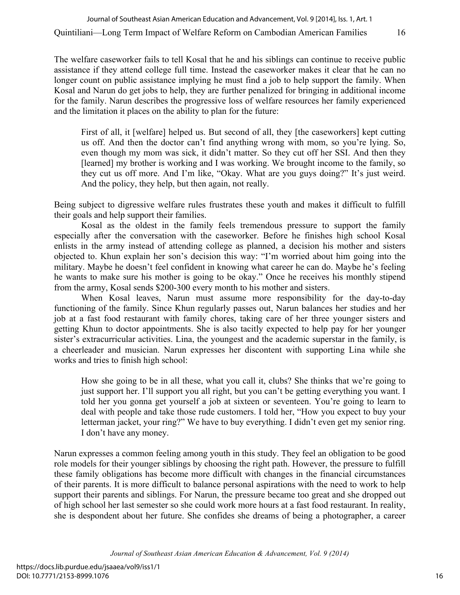The welfare caseworker fails to tell Kosal that he and his siblings can continue to receive public assistance if they attend college full time. Instead the caseworker makes it clear that he can no longer count on public assistance implying he must find a job to help support the family. When Kosal and Narun do get jobs to help, they are further penalized for bringing in additional income for the family. Narun describes the progressive loss of welfare resources her family experienced and the limitation it places on the ability to plan for the future:

First of all, it [welfare] helped us. But second of all, they [the caseworkers] kept cutting us off. And then the doctor can't find anything wrong with mom, so you're lying. So, even though my mom was sick, it didn't matter. So they cut off her SSI. And then they [learned] my brother is working and I was working. We brought income to the family, so they cut us off more. And I'm like, "Okay. What are you guys doing?" It's just weird. And the policy, they help, but then again, not really.

Being subject to digressive welfare rules frustrates these youth and makes it difficult to fulfill their goals and help support their families.

Kosal as the oldest in the family feels tremendous pressure to support the family especially after the conversation with the caseworker. Before he finishes high school Kosal enlists in the army instead of attending college as planned, a decision his mother and sisters objected to. Khun explain her son's decision this way: "I'm worried about him going into the military. Maybe he doesn't feel confident in knowing what career he can do. Maybe he's feeling he wants to make sure his mother is going to be okay." Once he receives his monthly stipend from the army, Kosal sends \$200-300 every month to his mother and sisters.

When Kosal leaves, Narun must assume more responsibility for the day-to-day functioning of the family. Since Khun regularly passes out, Narun balances her studies and her job at a fast food restaurant with family chores, taking care of her three younger sisters and getting Khun to doctor appointments. She is also tacitly expected to help pay for her younger sister's extracurricular activities. Lina, the youngest and the academic superstar in the family, is a cheerleader and musician. Narun expresses her discontent with supporting Lina while she works and tries to finish high school:

How she going to be in all these, what you call it, clubs? She thinks that we're going to just support her. I'll support you all right, but you can't be getting everything you want. I told her you gonna get yourself a job at sixteen or seventeen. You're going to learn to deal with people and take those rude customers. I told her, "How you expect to buy your letterman jacket, your ring?" We have to buy everything. I didn't even get my senior ring. I don't have any money.

Narun expresses a common feeling among youth in this study. They feel an obligation to be good role models for their younger siblings by choosing the right path. However, the pressure to fulfill these family obligations has become more difficult with changes in the financial circumstances of their parents. It is more difficult to balance personal aspirations with the need to work to help support their parents and siblings. For Narun, the pressure became too great and she dropped out of high school her last semester so she could work more hours at a fast food restaurant. In reality, she is despondent about her future. She confides she dreams of being a photographer, a career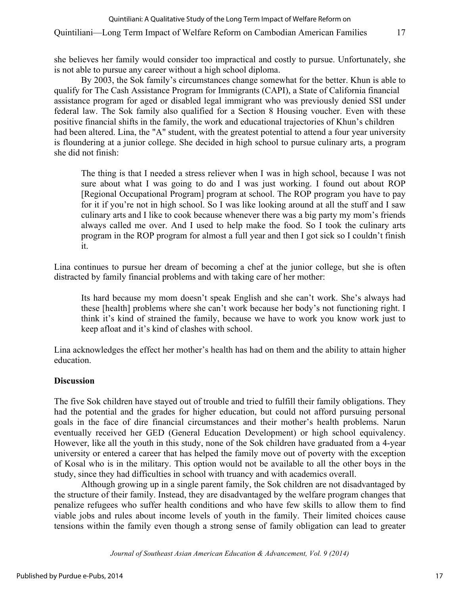she believes her family would consider too impractical and costly to pursue. Unfortunately, she is not able to pursue any career without a high school diploma.

By 2003, the Sok family's circumstances change somewhat for the better. Khun is able to qualify for The Cash Assistance Program for Immigrants (CAPI), a State of California financial assistance program for aged or disabled legal immigrant who was previously denied SSI under federal law. The Sok family also qualified for a Section 8 Housing voucher. Even with these positive financial shifts in the family, the work and educational trajectories of Khun's children had been altered. Lina, the "A" student, with the greatest potential to attend a four year university is floundering at a junior college. She decided in high school to pursue culinary arts, a program she did not finish:

The thing is that I needed a stress reliever when I was in high school, because I was not sure about what I was going to do and I was just working. I found out about ROP [Regional Occupational Program] program at school. The ROP program you have to pay for it if you're not in high school. So I was like looking around at all the stuff and I saw culinary arts and I like to cook because whenever there was a big party my mom's friends always called me over. And I used to help make the food. So I took the culinary arts program in the ROP program for almost a full year and then I got sick so I couldn't finish it.

Lina continues to pursue her dream of becoming a chef at the junior college, but she is often distracted by family financial problems and with taking care of her mother:

Its hard because my mom doesn't speak English and she can't work. She's always had these [health] problems where she can't work because her body's not functioning right. I think it's kind of strained the family, because we have to work you know work just to keep afloat and it's kind of clashes with school.

Lina acknowledges the effect her mother's health has had on them and the ability to attain higher education.

## **Discussion**

The five Sok children have stayed out of trouble and tried to fulfill their family obligations. They had the potential and the grades for higher education, but could not afford pursuing personal goals in the face of dire financial circumstances and their mother's health problems. Narun eventually received her GED (General Education Development) or high school equivalency. However, like all the youth in this study, none of the Sok children have graduated from a 4-year university or entered a career that has helped the family move out of poverty with the exception of Kosal who is in the military. This option would not be available to all the other boys in the study, since they had difficulties in school with truancy and with academics overall.

Although growing up in a single parent family, the Sok children are not disadvantaged by the structure of their family. Instead, they are disadvantaged by the welfare program changes that penalize refugees who suffer health conditions and who have few skills to allow them to find viable jobs and rules about income levels of youth in the family. Their limited choices cause tensions within the family even though a strong sense of family obligation can lead to greater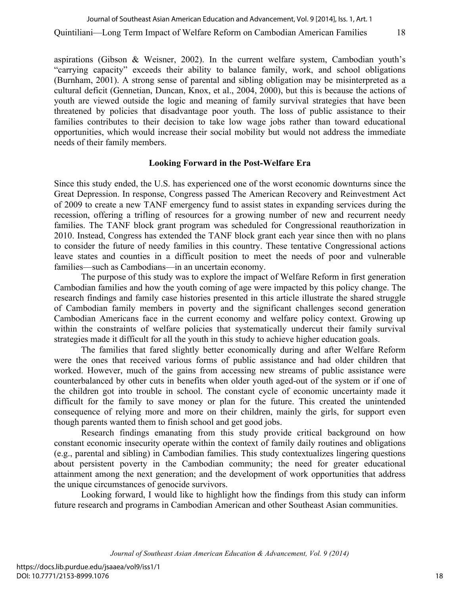aspirations (Gibson & Weisner, 2002). In the current welfare system, Cambodian youth's "carrying capacity" exceeds their ability to balance family, work, and school obligations (Burnham, 2001). A strong sense of parental and sibling obligation may be misinterpreted as a cultural deficit (Gennetian, Duncan, Knox, et al., 2004, 2000), but this is because the actions of youth are viewed outside the logic and meaning of family survival strategies that have been threatened by policies that disadvantage poor youth. The loss of public assistance to their families contributes to their decision to take low wage jobs rather than toward educational opportunities, which would increase their social mobility but would not address the immediate needs of their family members.

#### **Looking Forward in the Post-Welfare Era**

Since this study ended, the U.S. has experienced one of the worst economic downturns since the Great Depression. In response, Congress passed The American Recovery and Reinvestment Act of 2009 to create a new TANF emergency fund to assist states in expanding services during the recession, offering a trifling of resources for a growing number of new and recurrent needy families. The TANF block grant program was scheduled for Congressional reauthorization in 2010. Instead, Congress has extended the TANF block grant each year since then with no plans to consider the future of needy families in this country. These tentative Congressional actions leave states and counties in a difficult position to meet the needs of poor and vulnerable families—such as Cambodians—in an uncertain economy.

The purpose of this study was to explore the impact of Welfare Reform in first generation Cambodian families and how the youth coming of age were impacted by this policy change. The research findings and family case histories presented in this article illustrate the shared struggle of Cambodian family members in poverty and the significant challenges second generation Cambodian Americans face in the current economy and welfare policy context. Growing up within the constraints of welfare policies that systematically undercut their family survival strategies made it difficult for all the youth in this study to achieve higher education goals.

The families that fared slightly better economically during and after Welfare Reform were the ones that received various forms of public assistance and had older children that worked. However, much of the gains from accessing new streams of public assistance were counterbalanced by other cuts in benefits when older youth aged-out of the system or if one of the children got into trouble in school. The constant cycle of economic uncertainty made it difficult for the family to save money or plan for the future. This created the unintended consequence of relying more and more on their children, mainly the girls, for support even though parents wanted them to finish school and get good jobs.

Research findings emanating from this study provide critical background on how constant economic insecurity operate within the context of family daily routines and obligations (e.g., parental and sibling) in Cambodian families. This study contextualizes lingering questions about persistent poverty in the Cambodian community; the need for greater educational attainment among the next generation; and the development of work opportunities that address the unique circumstances of genocide survivors.

Looking forward, I would like to highlight how the findings from this study can inform future research and programs in Cambodian American and other Southeast Asian communities.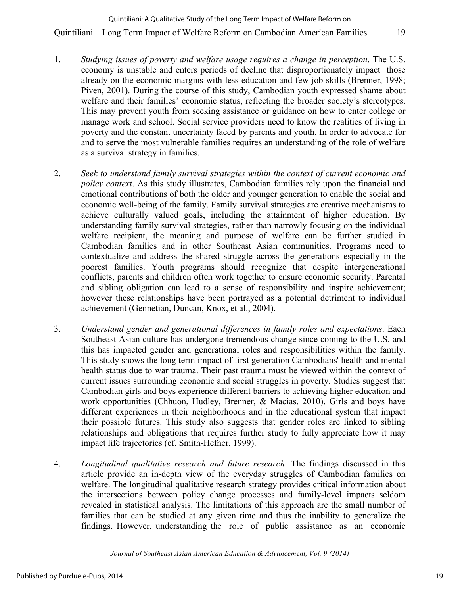## Quintiliani—Long Term Impact of Welfare Reform on Cambodian American Families 19 Quintiliani: A Qualitative Study of the Long Term Impact of Welfare Reform on

- 1. *Studying issues of poverty and welfare usage requires a change in perception*. The U.S. economy is unstable and enters periods of decline that disproportionately impact those already on the economic margins with less education and few job skills (Brenner, 1998; Piven, 2001). During the course of this study, Cambodian youth expressed shame about welfare and their families' economic status, reflecting the broader society's stereotypes. This may prevent youth from seeking assistance or guidance on how to enter college or manage work and school. Social service providers need to know the realities of living in poverty and the constant uncertainty faced by parents and youth. In order to advocate for and to serve the most vulnerable families requires an understanding of the role of welfare as a survival strategy in families.
- 2. *Seek to understand family survival strategies within the context of current economic and policy context*. As this study illustrates, Cambodian families rely upon the financial and emotional contributions of both the older and younger generation to enable the social and economic well-being of the family. Family survival strategies are creative mechanisms to achieve culturally valued goals, including the attainment of higher education. By understanding family survival strategies, rather than narrowly focusing on the individual welfare recipient, the meaning and purpose of welfare can be further studied in Cambodian families and in other Southeast Asian communities. Programs need to contextualize and address the shared struggle across the generations especially in the poorest families. Youth programs should recognize that despite intergenerational conflicts, parents and children often work together to ensure economic security. Parental and sibling obligation can lead to a sense of responsibility and inspire achievement; however these relationships have been portrayed as a potential detriment to individual achievement (Gennetian, Duncan, Knox, et al., 2004).
- 3. *Understand gender and generational differences in family roles and expectations*. Each Southeast Asian culture has undergone tremendous change since coming to the U.S. and this has impacted gender and generational roles and responsibilities within the family. This study shows the long term impact of first generation Cambodians' health and mental health status due to war trauma. Their past trauma must be viewed within the context of current issues surrounding economic and social struggles in poverty. Studies suggest that Cambodian girls and boys experience different barriers to achieving higher education and work opportunities (Chhuon, Hudley, Brenner, & Macias, 2010). Girls and boys have different experiences in their neighborhoods and in the educational system that impact their possible futures. This study also suggests that gender roles are linked to sibling relationships and obligations that requires further study to fully appreciate how it may impact life trajectories (cf. Smith-Hefner, 1999).
- 4. *Longitudinal qualitative research and future research*. The findings discussed in this article provide an in-depth view of the everyday struggles of Cambodian families on welfare. The longitudinal qualitative research strategy provides critical information about the intersections between policy change processes and family-level impacts seldom revealed in statistical analysis. The limitations of this approach are the small number of families that can be studied at any given time and thus the inability to generalize the findings. However, understanding the role of public assistance as an economic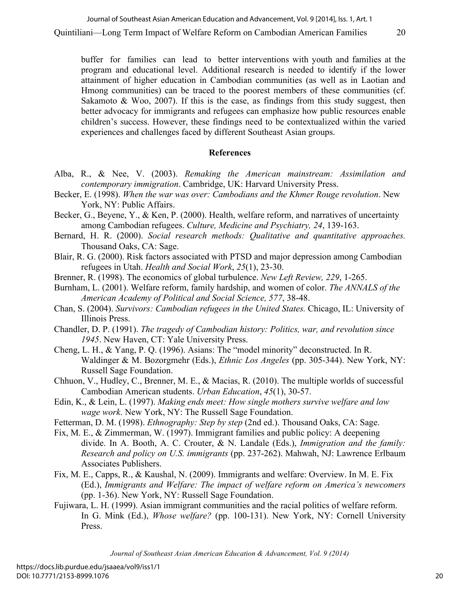buffer for families can lead to better interventions with youth and families at the program and educational level. Additional research is needed to identify if the lower attainment of higher education in Cambodian communities (as well as in Laotian and Hmong communities) can be traced to the poorest members of these communities (cf. Sakamoto  $\&$  Woo, 2007). If this is the case, as findings from this study suggest, then better advocacy for immigrants and refugees can emphasize how public resources enable children's success. However, these findings need to be contextualized within the varied experiences and challenges faced by different Southeast Asian groups.

### **References**

- Alba, R., & Nee, V. (2003). *Remaking the American mainstream: Assimilation and contemporary immigration*. Cambridge, UK: Harvard University Press.
- Becker, E. (1998). *When the war was over: Cambodians and the Khmer Rouge revolution*. New York, NY: Public Affairs.
- Becker, G., Beyene, Y., & Ken, P. (2000). Health, welfare reform, and narratives of uncertainty among Cambodian refugees. *Culture, Medicine and Psychiatry, 24*, 139-163.
- Bernard, H. R. (2000). *Social research methods: Qualitative and quantitative approaches.* Thousand Oaks, CA: Sage.
- Blair, R. G. (2000). Risk factors associated with PTSD and major depression among Cambodian refugees in Utah. *Health and Social Work*, *25*(1), 23-30.
- Brenner, R. (1998). The economics of global turbulence. *New Left Review, 229*, 1-265.
- Burnham, L. (2001). Welfare reform, family hardship, and women of color. *The ANNALS of the American Academy of Political and Social Science, 577*, 38-48.
- Chan, S. (2004). *Survivors: Cambodian refugees in the United States.* Chicago, IL: University of Illinois Press.
- Chandler, D. P. (1991). *The tragedy of Cambodian history: Politics, war, and revolution since 1945*. New Haven, CT: Yale University Press.
- Cheng, L. H., & Yang, P. Q. (1996). Asians: The "model minority" deconstructed. In R. Waldinger & M. Bozorgmehr (Eds.), *Ethnic Los Angeles* (pp. 305-344). New York, NY: Russell Sage Foundation.
- Chhuon, V., Hudley, C., Brenner, M. E., & Macias, R. (2010). The multiple worlds of successful Cambodian American students. *Urban Education*, *45*(1), 30-57.
- Edin, K., & Lein, L. (1997). *Making ends meet: How single mothers survive welfare and low wage work*. New York, NY: The Russell Sage Foundation.
- Fetterman, D. M. (1998). *Ethnography: Step by step* (2nd ed.). Thousand Oaks, CA: Sage.
- Fix, M. E., & Zimmerman, W. (1997). Immigrant families and public policy: A deepening divide. In A. Booth, A. C. Crouter, & N. Landale (Eds.), *Immigration and the family: Research and policy on U.S. immigrants* (pp. 237-262). Mahwah, NJ: Lawrence Erlbaum Associates Publishers.
- Fix, M. E., Capps, R., & Kaushal, N. (2009). Immigrants and welfare: Overview. In M. E. Fix (Ed.), *Immigrants and Welfare: The impact of welfare reform on America's newcomers* (pp. 1-36). New York, NY: Russell Sage Foundation.
- Fujiwara, L. H. (1999). Asian immigrant communities and the racial politics of welfare reform. In G. Mink (Ed.), *Whose welfare?* (pp. 100-131). New York, NY: Cornell University Press.

*Journal of Southeast Asian American Education & Advancement, Vol. 9 (2014)*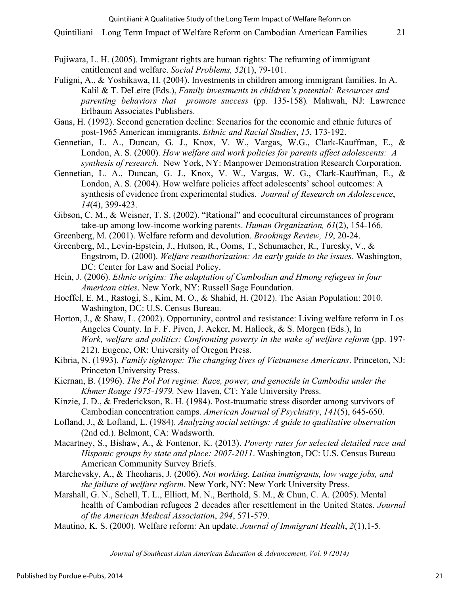- Fujiwara, L. H. (2005). Immigrant rights are human rights: The reframing of immigrant entitlement and welfare. *Social Problems, 52*(1), 79-101.
- Fuligni, A., & Yoshikawa, H. (2004). Investments in children among immigrant families. In A. Kalil & T. DeLeire (Eds.), *Family investments in children's potential: Resources and parenting behaviors that promote success* (pp. 135-158)*.* Mahwah, NJ: Lawrence Erlbaum Associates Publishers.
- Gans, H. (1992). Second generation decline: Scenarios for the economic and ethnic futures of post-1965 American immigrants. *Ethnic and Racial Studies*, *15*, 173-192.
- Gennetian, L. A., Duncan, G. J., Knox, V. W., Vargas, W.G., Clark-Kauffman, E., & London, A. S. (2000). *How welfare and work policies for parents affect adolescents: A synthesis of research*. New York, NY: Manpower Demonstration Research Corporation.
- Gennetian, L. A., Duncan, G. J., Knox, V. W., Vargas, W. G., Clark-Kauffman, E., & London, A. S. (2004). How welfare policies affect adolescents' school outcomes: A synthesis of evidence from experimental studies. *Journal of Research on Adolescence*, *14*(4), 399-423.
- Gibson, C. M., & Weisner, T. S. (2002). "Rational" and ecocultural circumstances of program take-up among low-income working parents. *Human Organization, 61*(2), 154-166.
- Greenberg, M. (2001). Welfare reform and devolution. *Brookings Review, 19*, 20-24.
- Greenberg, M., Levin-Epstein, J., Hutson, R., Ooms, T., Schumacher, R., Turesky, V., & Engstrom, D. (2000). *Welfare reauthorization: An early guide to the issues*. Washington, DC: Center for Law and Social Policy.
- Hein, J. (2006). *Ethnic origins: The adaptation of Cambodian and Hmong refugees in four American cities*. New York, NY: Russell Sage Foundation.
- Hoeffel, E. M., Rastogi, S., Kim, M. O., & Shahid, H. (2012). The Asian Population: 2010. Washington, DC: U.S. Census Bureau.
- Horton, J., & Shaw, L. (2002). Opportunity, control and resistance: Living welfare reform in Los Angeles County. In F. F. Piven, J. Acker, M. Hallock, & S. Morgen (Eds.), In *Work, welfare and politics: Confronting poverty in the wake of welfare reform* (pp. 197- 212). Eugene, OR: University of Oregon Press.
- Kibria, N. (1993). *Family tightrope: The changing lives of Vietnamese Americans*. Princeton, NJ: Princeton University Press.
- Kiernan, B. (1996). *The Pol Pot regime: Race, power, and genocide in Cambodia under the Khmer Rouge 1975-1979.* New Haven, CT: Yale University Press.
- Kinzie, J. D., & Frederickson, R. H. (1984). Post-traumatic stress disorder among survivors of Cambodian concentration camps. *American Journal of Psychiatry*, *141*(5), 645-650.
- Lofland, J., & Lofland, L. (1984). *Analyzing social settings: A guide to qualitative observation* (2nd ed.). Belmont, CA: Wadsworth.
- Macartney, S., Bishaw, A., & Fontenor, K. (2013). *Poverty rates for selected detailed race and Hispanic groups by state and place: 2007-2011*. Washington, DC: U.S. Census Bureau American Community Survey Briefs.
- Marchevsky, A., & Theoharis, J. (2006). *Not working. Latina immigrants, low wage jobs, and the failure of welfare reform*. New York, NY: New York University Press.
- Marshall, G. N., Schell, T. L., Elliott, M. N., Berthold, S. M., & Chun, C. A. (2005). Mental health of Cambodian refugees 2 decades after resettlement in the United States. *Journal of the American Medical Association*, *294*, 571-579.
- Mautino, K. S. (2000). Welfare reform: An update. *Journal of Immigrant Health*, *2*(1),1-5.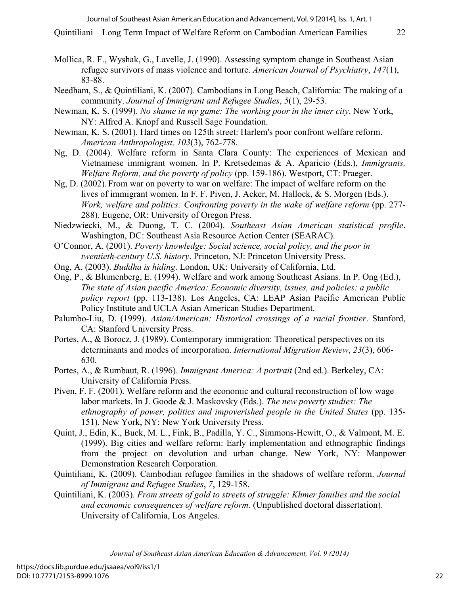Quintiliani—Long Term Impact of Welfare Reform on Cambodian American Families 22

- Mollica, R. F., Wyshak, G., Lavelle, J. (1990). Assessing symptom change in Southeast Asian refugee survivors of mass violence and torture. *American Journal of Psychiatry*, *147*(1), 83-88.
- Needham, S., & Quintiliani, K. (2007). Cambodians in Long Beach, California: The making of a community. *Journal of Immigrant and Refugee Studies*, *5*(1), 29-53.
- Newman, K. S. (1999). *No shame in my game: The working poor in the inner city*. New York, NY: Alfred A. Knopf and Russell Sage Foundation.
- Newman, K. S. (2001). Hard times on 125th street: Harlem's poor confront welfare reform. *American Anthropologist, 103*(3), 762-*7*78.
- Ng, D. (2004). Welfare reform in Santa Clara County: The experiences of Mexican and Vietnamese immigrant women. In P. Kretsedemas & A. Aparicio (Eds.), *Immigrants, Welfare Reform, and the poverty of policy* (pp. 159-186). Westport, CT: Praeger.
- Ng, D. (2002). From war on poverty to war on welfare: The impact of welfare reform on the lives of immigrant women. In F. F. Piven, J. Acker, M. Hallock, & S. Morgen (Eds.). *Work, welfare and politics: Confronting poverty in the wake of welfare reform* (pp. 277- 288)*.* Eugene, OR: University of Oregon Press.
- Niedzwiecki, M., & Duong, T. C. (2004). *Southeast Asian American statistical profile*. Washington, DC: Southeast Asia Resource Action Center (SEARAC).
- O'Connor, A. (2001). *Poverty knowledge: Social science, social policy, and the poor in twentieth-century U.S. history*. Princeton, NJ: Princeton University Press.
- Ong, A. (2003). *Buddha is hiding*. London, UK: University of California, Ltd.
- Ong, P., & Blumenberg, E. (1994). Welfare and work among Southeast Asians. In P. Ong (Ed.), *The state of Asian pacific America: Economic diversity, issues, and policies: a public policy report* (pp. 113-138). Los Angeles, CA: LEAP Asian Pacific American Public Policy Institute and UCLA Asian American Studies Department.
- Palumbo-Liu, D. (1999). *Asian/American: Historical crossings of a racial frontier*. Stanford, CA: Stanford University Press.
- Portes, A., & Borocz, J. (1989). Contemporary immigration: Theoretical perspectives on its determinants and modes of incorporation. *International Migration Review*, *23*(3), 606- 630.
- Portes, A., & Rumbaut, R. (1996). *Immigrant America: A portrait* (2nd ed.). Berkeley, CA: University of California Press.
- Piven, F. F. (2001). Welfare reform and the economic and cultural reconstruction of low wage labor markets. In J. Goode & J. Maskovsky (Eds.). *The new poverty studies: The ethnography of power, politics and impoverished people in the United States* (pp. 135- 151). New York, NY: New York University Press.
- Quint, J., Edin, K., Buck, M. L., Fink, B., Padilla, Y. C., Simmons-Hewitt, O., & Valmont, M. E. (1999). Big cities and welfare reform: Early implementation and ethnographic findings from the project on devolution and urban change. New York, NY: Manpower Demonstration Research Corporation.
- Quintiliani, K. (2009). Cambodian refugee families in the shadows of welfare reform. *Journal of Immigrant and Refugee Studies*, *7*, 129-158.
- Quintiliani, K. (2003). *From streets of gold to streets of struggle: Khmer families and the social and economic consequences of welfare reform*. (Unpublished doctoral dissertation). University of California, Los Angeles.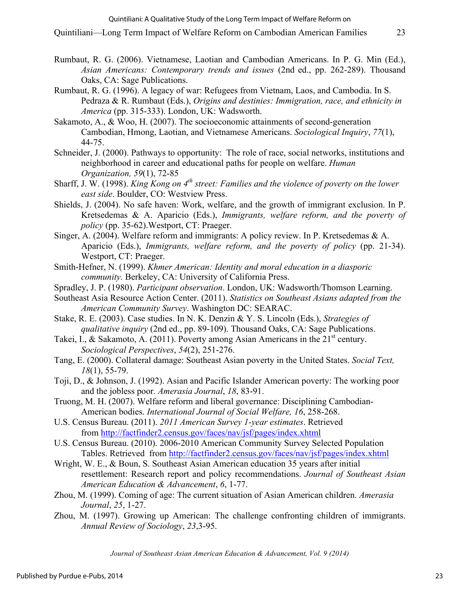- Rumbaut, R. G. (2006). Vietnamese, Laotian and Cambodian Americans. In P. G. Min (Ed.), *Asian Americans: Contemporary trends and issues* (2nd ed., pp. 262-289). Thousand Oaks, CA: Sage Publications.
- Rumbaut, R. G. (1996). A legacy of war: Refugees from Vietnam, Laos, and Cambodia. In S. Pedraza & R. Rumbaut (Eds.), *Origins and destinies: Immigration, race, and ethnicity in America* (pp. 315-333). London, UK: Wadsworth.
- Sakamoto, A., & Woo, H. (2007). The socioeconomic attainments of second-generation Cambodian, Hmong, Laotian, and Vietnamese Americans. *Sociological Inquiry*, *77*(1), 44-75.
- Schneider, J. (2000). Pathways to opportunity: The role of race, social networks, institutions and neighborhood in career and educational paths for people on welfare. *Human Organization, 59*(1), 72-85
- Sharff, J. W. (1998). *King Kong on 4th street: Families and the violence of poverty on the lower east side*. Boulder, CO: Westview Press.
- Shields, J. (2004). No safe haven: Work, welfare, and the growth of immigrant exclusion. In P. Kretsedemas & A. Aparicio (Eds.), *Immigrants, welfare reform, and the poverty of policy* (pp. 35-62).Westport, CT: Praeger.
- Singer, A. (2004). Welfare reform and immigrants: A policy review. In P. Kretsedemas & A. Aparicio (Eds.), *Immigrants, welfare reform, and the poverty of policy* (pp. 21-34). Westport, CT: Praeger.
- Smith-Hefner, N. (1999). *Khmer American: Identity and moral education in a diasporic community.* Berkeley, CA: University of California Press.
- Spradley, J. P. (1980). *Participant observation*. London, UK: Wadsworth/Thomson Learning.
- Southeast Asia Resource Action Center. (2011). *Statistics on Southeast Asians adapted from the American Community Survey*. Washington DC: SEARAC.
- Stake, R. E. (2003). Case studies. In N. K. Denzin & Y. S. Lincoln (Eds.), *Strategies of qualitative inquiry* (2nd ed., pp. 89-109). Thousand Oaks, CA: Sage Publications.
- Takei, I., & Sakamoto, A. (2011). Poverty among Asian Americans in the  $21<sup>st</sup>$  century. *Sociological Perspectives*, *54*(2), 251-276.
- Tang, E. (2000). Collateral damage: Southeast Asian poverty in the United States. *Social Text, 18*(1), 55-79.
- Toji, D., & Johnson, J. (1992). Asian and Pacific Islander American poverty: The working poor and the jobless poor. *Amerasia Journal*, *18*, 83-91.
- Truong, M. H. (2007). Welfare reform and liberal governance: Disciplining Cambodian-American bodies. *International Journal of Social Welfare, 16*, 258-268.
- U.S. Census Bureau. (2011). *2011 American Survey 1-year estimates*. Retrieved from http://factfinder2.census.gov/faces/nav/jsf/pages/index.xhtml
- U.S. Census Bureau. (2010). 2006-2010 American Community Survey Selected Population Tables. Retrieved from http://factfinder2.census.gov/faces/nav/jsf/pages/index.xhtml
- Wright, W. E., & Boun, S. Southeast Asian American education 35 years after initial resettlement: Research report and policy recommendations. *Journal of Southeast Asian American Education & Advancement*, *6*, 1-77.
- Zhou, M. (1999). Coming of age: The current situation of Asian American children. *Amerasia Journal*, *25*, 1-27.
- Zhou, M. (1997). Growing up American: The challenge confronting children of immigrants. *Annual Review of Sociology*, *23*,3-95.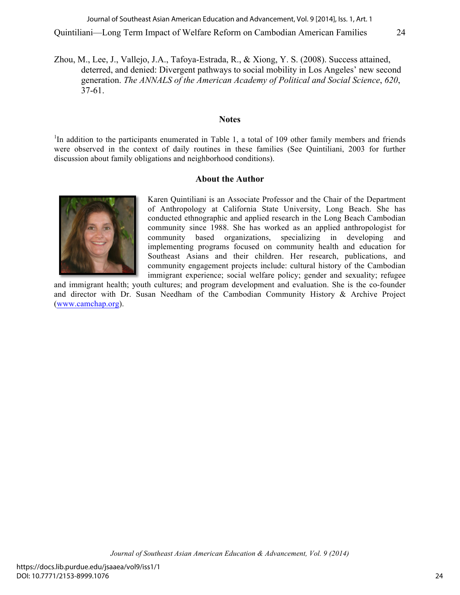Zhou, M., Lee, J., Vallejo, J.A., Tafoya-Estrada, R., & Xiong, Y. S. (2008). Success attained, deterred, and denied: Divergent pathways to social mobility in Los Angeles' new second generation. *The ANNALS of the American Academy of Political and Social Science*, *620*, 37-61.

#### **Notes**

<sup>1</sup>In addition to the participants enumerated in Table 1, a total of 109 other family members and friends were observed in the context of daily routines in these families (See Quintiliani, 2003 for further discussion about family obligations and neighborhood conditions).

#### **About the Author**



Karen Quintiliani is an Associate Professor and the Chair of the Department of Anthropology at California State University, Long Beach. She has conducted ethnographic and applied research in the Long Beach Cambodian community since 1988. She has worked as an applied anthropologist for community based organizations, specializing in developing and implementing programs focused on community health and education for Southeast Asians and their children. Her research, publications, and community engagement projects include: cultural history of the Cambodian immigrant experience; social welfare policy; gender and sexuality; refugee

and immigrant health; youth cultures; and program development and evaluation. She is the co-founder and director with Dr. Susan Needham of the Cambodian Community History & Archive Project (www.camchap.org).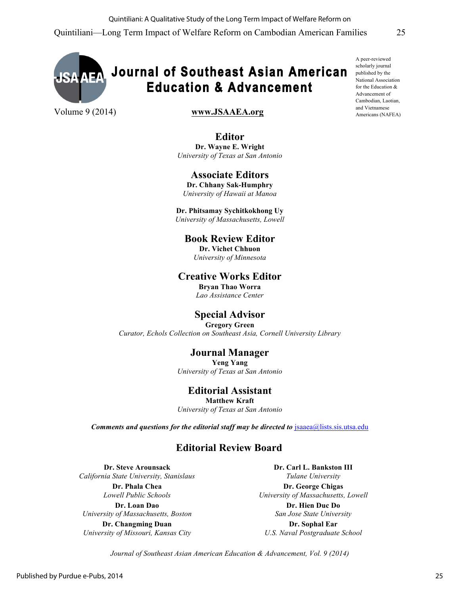

#### Volume 9 (2014) **www.JSAAEA.org**

**Editor Dr. Wayne E. Wright** *University of Texas at San Antonio*

## **Associate Editors**

**Dr. Chhany Sak-Humphry** *University of Hawaii at Manoa*

**Dr. Phitsamay Sychitkokhong Uy** *University of Massachusetts, Lowell*

## **Book Review Editor**

**Dr. Vichet Chhuon** *University of Minnesota*

### **Creative Works Editor**

**Bryan Thao Worra** *Lao Assistance Center*

## **Special Advisor**

**Gregory Green** *Curator, Echols Collection on Southeast Asia, Cornell University Library*

## **Journal Manager**

**Yeng Yang** *University of Texas at San Antonio*

## **Editorial Assistant**

**Matthew Kraft** *University of Texas at San Antonio*

*Comments and questions for the editorial staff may be directed to* jsaaea@lists.sis.utsa.edu

## **Editorial Review Board**

**Dr. Steve Arounsack** *California State University, Stanislaus*

> **Dr. Phala Chea** *Lowell Public Schools*

**Dr. Loan Dao** *University of Massachusetts, Boston*

**Dr. Changming Duan** *University of Missouri, Kansas City* **Dr. Carl L. Bankston III** *Tulane University*

**Dr. George Chigas** *University of Massachusetts, Lowell*

> **Dr. Hien Duc Do** *San Jose State University*

**Dr. Sophal Ear** *U.S. Naval Postgraduate School*

*Journal of Southeast Asian American Education & Advancement, Vol. 9 (2014)*

A peer-reviewed scholarly journal published by the National Association for the Education & Advancement of Cambodian, Laotian, and Vietnamese Americans (NAFEA)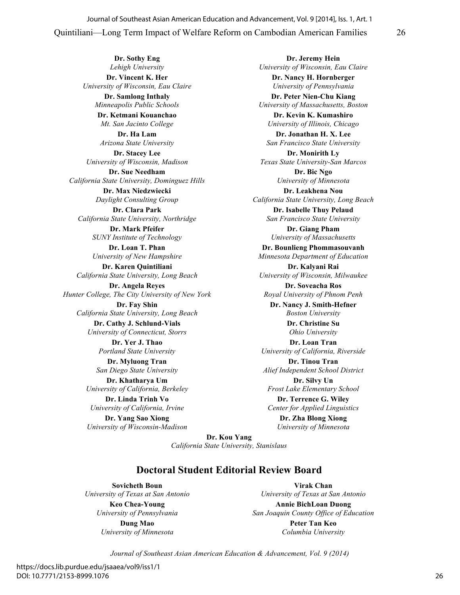**Dr. Sothy Eng** *Lehigh University* **Dr. Vincent K. Her** *University of Wisconsin, Eau Claire* **Dr. Samlong Inthaly**

*Minneapolis Public Schools* **Dr. Ketmani Kouanchao**

*Mt. San Jacinto College* **Dr. Ha Lam**

*Arizona State University*

**Dr. Stacey Lee** *University of Wisconsin, Madison*

**Dr. Sue Needham** *California State University, Dominguez Hills*

**Dr. Max Niedzwiecki** *Daylight Consulting Group* **Dr. Clara Park**

*California State University, Northridge*

**Dr. Mark Pfeifer** *SUNY Institute of Technology*

**Dr. Loan T. Phan** *University of New Hampshire*

**Dr. Karen Quintiliani** *California State University, Long Beach*

**Dr. Angela Reyes** *Hunter College, The City University of New York*

**Dr. Fay Shin** *California State University, Long Beach*

**Dr. Cathy J. Schlund-Vials** *University of Connecticut, Storrs*

**Dr. Yer J. Thao** *Portland State University* **Dr. Myluong Tran**

*San Diego State University*

**Dr. Khatharya Um** *University of California, Berkeley* **Dr. Linda Trinh Vo**

*University of California, Irvine*

**Dr. Yang Sao Xiong** *University of Wisconsin-Madison*

**Dr. Jeremy Hein** *University of Wisconsin, Eau Claire* **Dr. Nancy H. Hornberger** *University of Pennsylvania*

**Dr. Peter Nien-Chu Kiang** *University of Massachusetts, Boston*

**Dr. Kevin K. Kumashiro** *University of Illinois, Chicago*

**Dr. Jonathan H. X. Lee** *San Francisco State University*

**Dr. Monirith Ly** *Texas State University-San Marcos*

> **Dr. Bic Ngo** *University of Minnesota*

**Dr. Leakhena Nou** *California State University, Long Beach*

**Dr. Isabelle Thuy Pelaud** *San Francisco State University*

**Dr. Giang Pham** *University of Massachusetts*

**Dr. Bounlieng Phommasouvanh** *Minnesota Department of Education*

**Dr. Kalyani Rai** *University of Wisconsin, Milwaukee*

**Dr. Soveacha Ros** *Royal University of Phnom Penh*

**Dr. Nancy J. Smith-Hefner** *Boston University*

**Dr. Christine Su** *Ohio University*

**Dr. Loan Tran** *University of California, Riverside*

**Dr. Tinou Tran** *Alief Independent School District*

**Dr. Silvy Un** *Frost Lake Elementary School*

**Dr. Terrence G. Wiley** *Center for Applied Linguistics*

> **Dr. Zha Blong Xiong** *University of Minnesota*

**Dr. Kou Yang** *California State University, Stanislaus*

## **Doctoral Student Editorial Review Board**

**Sovicheth Boun** *University of Texas at San Antonio*

> **Keo Chea-Young** *University of Pennsylvania* **Dung Mao**

*University of Minnesota*

**Virak Chan** *University of Texas at San Antonio*

**Annie BichLoan Duong** *San Joaquin County Office of Education* **Peter Tan Keo** *Columbia University*

*Journal of Southeast Asian American Education & Advancement, Vol. 9 (2014)*

https://docs.lib.purdue.edu/jsaaea/vol9/iss1/1 DOI: 10.7771/2153-8999.1076